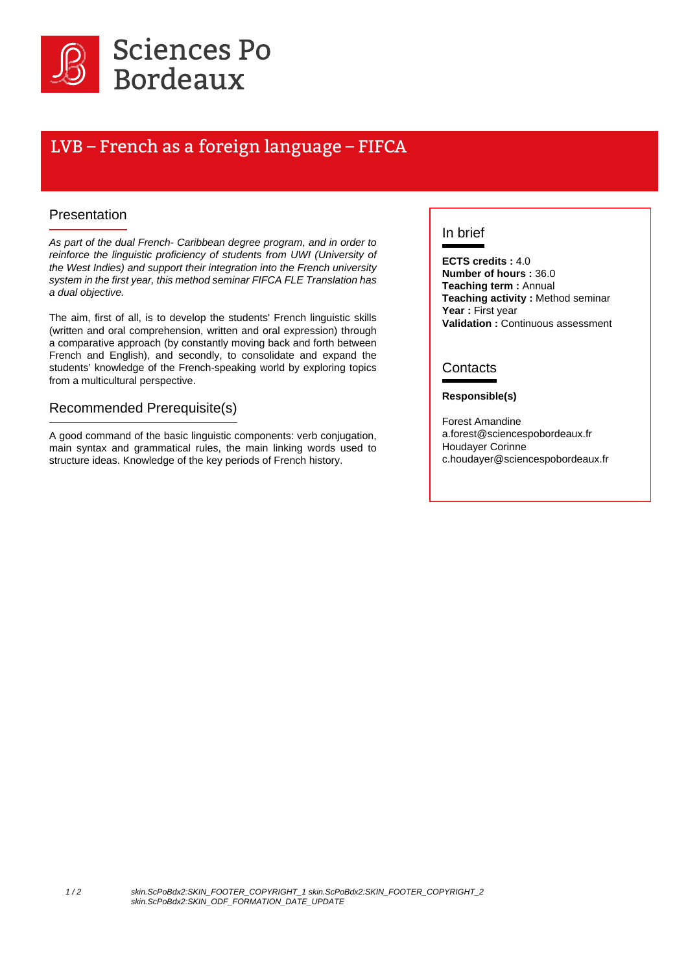

# LVB – French as a foreign language – FIFCA

#### Presentation

As part of the dual French- Caribbean degree program, and in order to reinforce the linguistic proficiency of students from UWI (University of the West Indies) and support their integration into the French university system in the first year, this method seminar FIFCA FLE Translation has a dual objective.

The aim, first of all, is to develop the students' French linguistic skills (written and oral comprehension, written and oral expression) through a comparative approach (by constantly moving back and forth between French and English), and secondly, to consolidate and expand the students' knowledge of the French-speaking world by exploring topics from a multicultural perspective.

#### Recommended Prerequisite(s)

A good command of the basic linguistic components: verb conjugation, main syntax and grammatical rules, the main linking words used to structure ideas. Knowledge of the key periods of French history.

### In brief

**ECTS credits :** 4.0 **Number of hours :** 36.0 **Teaching term :** Annual **Teaching activity :** Method seminar **Year :** First year **Validation :** Continuous assessment

#### **Contacts**

#### **Responsible(s)**

Forest Amandine a.forest@sciencespobordeaux.fr Houdayer Corinne c.houdayer@sciencespobordeaux.fr